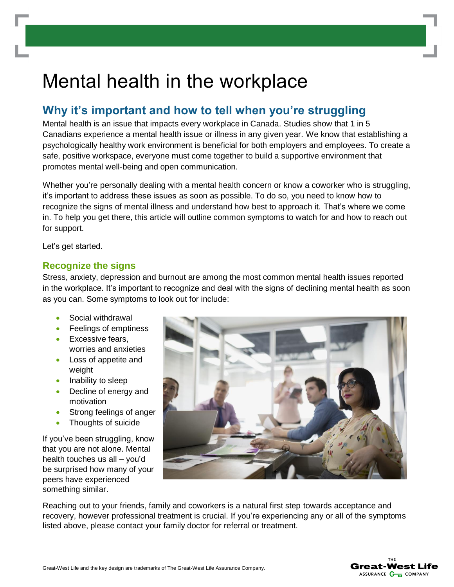# Mental health in the workplace

## **Why it's important and how to tell when you're struggling**

Mental health is an issue that impacts every workplace in Canada. Studies show that 1 in 5 Canadians experience a mental health issue or illness in any given year. We know that establishing a psychologically healthy work environment is beneficial for both employers and employees. To create a safe, positive workspace, everyone must come together to build a supportive environment that promotes mental well-being and open communication.

Whether you're personally dealing with a mental health concern or know a coworker who is struggling, it's important to address these issues as soon as possible. To do so, you need to know how to recognize the signs of mental illness and understand how best to approach it. That's where we come in. To help you get there, this article will outline common symptoms to watch for and how to reach out for support.

Let's get started.

#### **Recognize the signs**

Stress, anxiety, depression and burnout are among the most common mental health issues reported in the workplace. It's important to recognize and deal with the signs of declining mental health as soon as you can. Some symptoms to look out for include:

- Social withdrawal
- Feelings of emptiness
- Excessive fears, worries and anxieties
- Loss of appetite and weight
- Inability to sleep
- Decline of energy and motivation
- Strong feelings of anger
- Thoughts of suicide

If you've been struggling, know that you are not alone. Mental health touches us all – you'd be surprised how many of your peers have experienced something similar.



Reaching out to your friends, family and coworkers is a natural first step towards acceptance and recovery, however professional treatment is crucial. If you're experiencing any or all of the symptoms listed above, please contact your family doctor for referral or treatment.